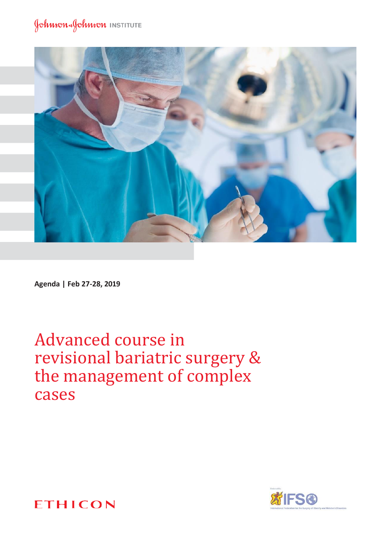### Johnson Johnson INSTITUTE



**Agenda | Feb 27-28, 2019**

Advanced course in revisional bariatric surgery & the management of complex cases



**ETHICON**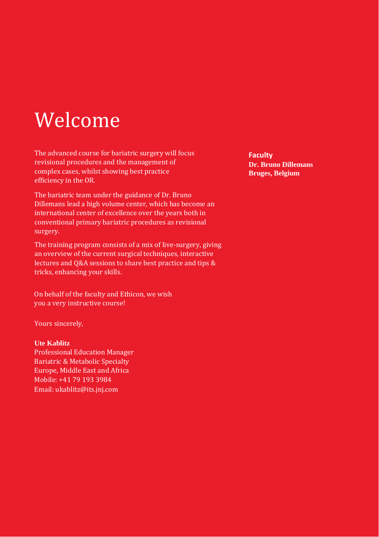# Welcome

The advanced course for bariatric surgery will focus revisional procedures and the management of complex cases, whilst showing best practice efficiency in the OR.

The bariatric team under the guidance of Dr. Bruno Dillemans lead a high volume center, which has become an international center of excellence over the years both in conventional primary bariatric procedures as revisional surgery.

The training program consists of a mix of live-surgery, giving an overview of the current surgical techniques, interactive lectures and Q&A sessions to share best practice and tips & tricks, enhancing your skills.

On behalf of the faculty and Ethicon, we wish you a very instructive course!

Yours sincerely,

#### **Ute Kablitz**

Professional Education Manager Bariatric & Metabolic Specialty Europe, Middle East and Africa Mobile: +41 79 193 3984 [Email: ukablitz@its.jnj.com](mailto:ukablitz@its.jnj.com)

**Faculty Dr. Bruno Dillemans Bruges, Belgium**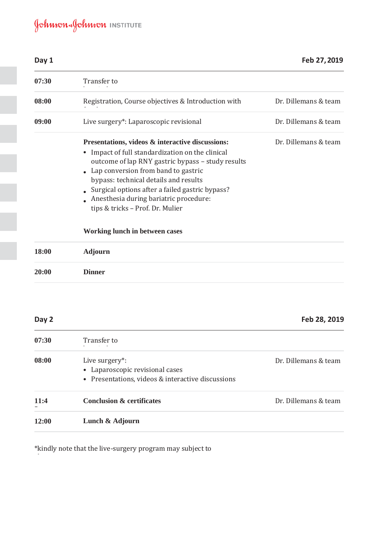## Johnson Johnson INSTITUTE

| Day 1 |                                                                                                                                                                                                                                                                                                                                                                              | Feb 27, 2019         |
|-------|------------------------------------------------------------------------------------------------------------------------------------------------------------------------------------------------------------------------------------------------------------------------------------------------------------------------------------------------------------------------------|----------------------|
| 07:30 | Transfer to                                                                                                                                                                                                                                                                                                                                                                  |                      |
| 08:00 | Registration, Course objectives & Introduction with                                                                                                                                                                                                                                                                                                                          | Dr. Dillemans & team |
| 09:00 | Live surgery*: Laparoscopic revisional                                                                                                                                                                                                                                                                                                                                       | Dr. Dillemans & team |
|       | Presentations, videos & interactive discussions:<br>• Impact of full standardization on the clinical<br>outcome of lap RNY gastric bypass - study results<br>• Lap conversion from band to gastric<br>bypass: technical details and results<br>Surgical options after a failed gastric bypass?<br>Anesthesia during bariatric procedure:<br>tips & tricks - Prof. Dr. Mulier | Dr. Dillemans & team |
|       | Working lunch in between cases                                                                                                                                                                                                                                                                                                                                               |                      |
| 18:00 | <b>Adjourn</b>                                                                                                                                                                                                                                                                                                                                                               |                      |
| 20:00 | <b>Dinner</b>                                                                                                                                                                                                                                                                                                                                                                |                      |

#### **Day 2 Feb 28, 2019**

change

| 07:30 | Transfer to                                                                                            |                      |
|-------|--------------------------------------------------------------------------------------------------------|----------------------|
| 08:00 | Live surgery*:<br>• Laparoscopic revisional cases<br>• Presentations, videos & interactive discussions | Dr. Dillemans & team |
| 11:4  | <b>Conclusion &amp; certificates</b>                                                                   | Dr. Dillemans & team |
| 12:00 | Lunch & Adjourn                                                                                        |                      |

\*kindly note that the live-surgery program may subject to